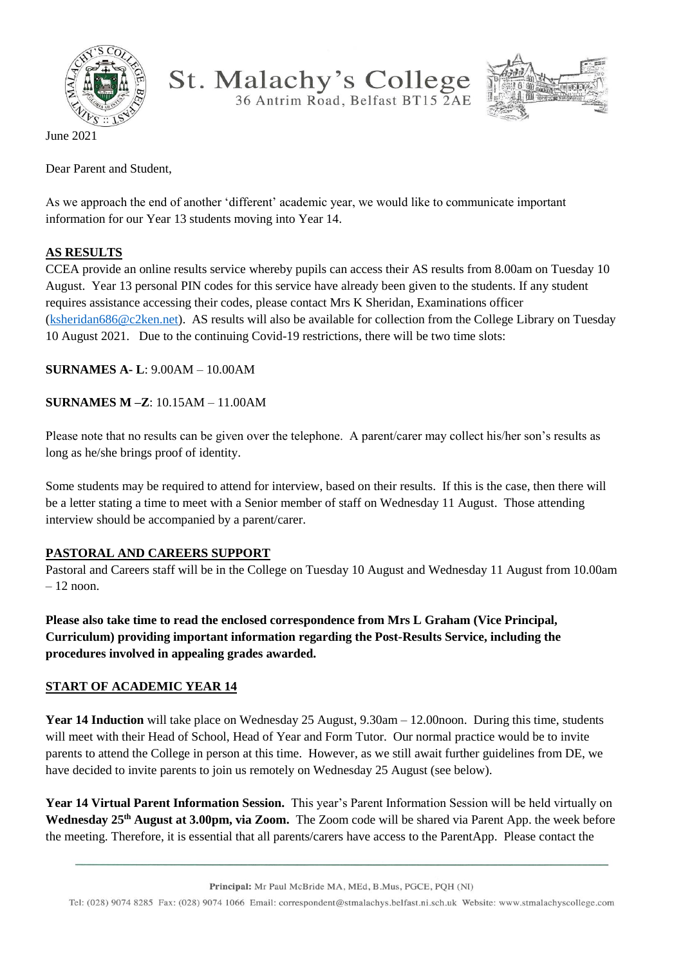

St. Malachy's College



June 2021

Dear Parent and Student,

As we approach the end of another 'different' academic year, we would like to communicate important information for our Year 13 students moving into Year 14.

## **AS RESULTS**

CCEA provide an online results service whereby pupils can access their AS results from 8.00am on Tuesday 10 August. Year 13 personal PIN codes for this service have already been given to the students. If any student requires assistance accessing their codes, please contact Mrs K Sheridan, Examinations officer [\(ksheridan686@c2ken.net\)](mailto:ksheridan686@c2ken.net). AS results will also be available for collection from the College Library on Tuesday 10 August 2021. Due to the continuing Covid-19 restrictions, there will be two time slots:

**SURNAMES A- L**: 9.00AM – 10.00AM

**SURNAMES M –Z**: 10.15AM – 11.00AM

Please note that no results can be given over the telephone. A parent/carer may collect his/her son's results as long as he/she brings proof of identity.

Some students may be required to attend for interview, based on their results. If this is the case, then there will be a letter stating a time to meet with a Senior member of staff on Wednesday 11 August. Those attending interview should be accompanied by a parent/carer.

## **PASTORAL AND CAREERS SUPPORT**

Pastoral and Careers staff will be in the College on Tuesday 10 August and Wednesday 11 August from 10.00am  $-12$  noon.

**Please also take time to read the enclosed correspondence from Mrs L Graham (Vice Principal, Curriculum) providing important information regarding the Post-Results Service, including the procedures involved in appealing grades awarded.**

## **START OF ACADEMIC YEAR 14**

**Year 14 Induction** will take place on Wednesday 25 August, 9.30am – 12.00 noon. During this time, students will meet with their Head of School, Head of Year and Form Tutor. Our normal practice would be to invite parents to attend the College in person at this time. However, as we still await further guidelines from DE, we have decided to invite parents to join us remotely on Wednesday 25 August (see below).

**Year 14 Virtual Parent Information Session.** This year's Parent Information Session will be held virtually on **Wednesday 25th August at 3.00pm, via Zoom.** The Zoom code will be shared via Parent App. the week before the meeting. Therefore, it is essential that all parents/carers have access to the ParentApp. Please contact the

Principal: Mr Paul McBride MA, MEd, B.Mus, PGCE, PQH (NI)

Tel: (028) 9074 8285 Fax: (028) 9074 1066 Email: correspondent@stmalachys.belfast.ni.sch.uk Website: www.stmalachyscollege.com